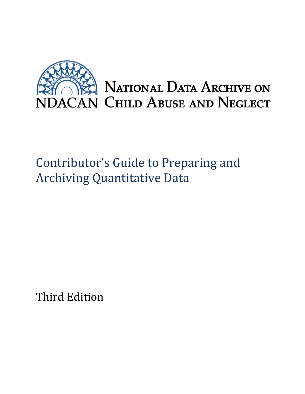

# Contributor's Guide to Preparing and Archiving Quantitative Data

Third Edition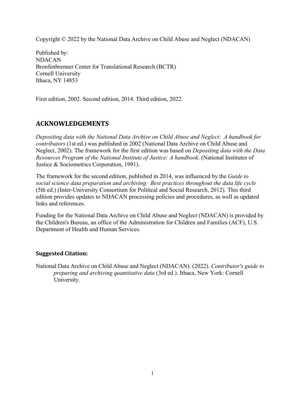Copyright © 2022 by the National Data Archive on Child Abuse and Neglect (NDACAN)

Published by: NDACAN Bronfenbrenner Center for Translational Research (BCTR) Cornell University Ithaca, NY 14853

First edition, 2002. Second edition, 2014. Third edition, 2022.

### **ACKNOWLEDGEMENTS**

*Depositing data with the National Data Archive on Child Abuse and Neglect: A handbook for contributors* (1st ed.) was published in 2002 (National Data Archive on Child Abuse and Neglect, 2002). The framework for the first edition was based on *Depositing data with the Data Resources Program of the National Institute of Justice: A handbook*. (National Institutes of Justice & Sociometrics Corporation, 1991).

The framework for the second edition, published in 2014, was influenced by the *Guide to social science data preparation and archiving: Best practices throughout the data life cycle* (5th ed.) (Inter-University Consortium for Political and Social Research, 2012). This third edition provides updates to NDACAN processing policies and procedures, as well as updated links and references.

Funding for the National Data Archive on Child Abuse and Neglect (NDACAN) is provided by the Children's Bureau, an office of the Administration for Children and Families (ACF), U.S. Department of Health and Human Services.

#### **Suggested Citation:**

National Data Archive on Child Abuse and Neglect (NDACAN). (2022). *Contributor's guide to preparing and archiving quantitative data* (3rd ed.). Ithaca, New York: Cornell University.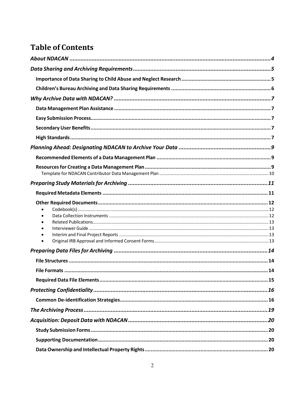# **Table of Contents**

| $\bullet$ |  |
|-----------|--|
|           |  |
|           |  |
|           |  |
|           |  |
|           |  |
|           |  |
|           |  |
|           |  |
|           |  |
|           |  |
|           |  |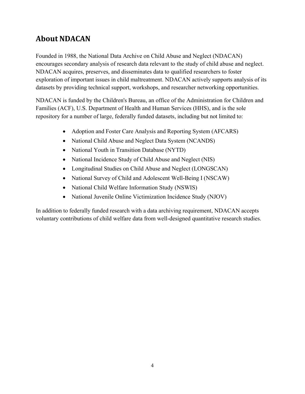# <span id="page-4-0"></span>**About NDACAN**

Founded in 1988, the National Data Archive on Child Abuse and Neglect (NDACAN) encourages secondary analysis of research data relevant to the study of child abuse and neglect. NDACAN acquires, preserves, and disseminates data to qualified researchers to foster exploration of important issues in child maltreatment. NDACAN actively supports analysis of its datasets by providing technical support, workshops, and researcher networking opportunities.

NDACAN is funded by the Children's Bureau, an office of the Administration for Children and Families (ACF), U.S. Department of Health and Human Services (HHS), and is the sole repository for a number of large, federally funded datasets, including but not limited to:

- Adoption and Foster Care Analysis and Reporting System (AFCARS)
- National Child Abuse and Neglect Data System (NCANDS)
- National Youth in Transition Database (NYTD)
- National Incidence Study of Child Abuse and Neglect (NIS)
- Longitudinal Studies on Child Abuse and Neglect (LONGSCAN)
- National Survey of Child and Adolescent Well-Being I (NSCAW)
- National Child Welfare Information Study (NSWIS)
- · National Juvenile Online Victimization Incidence Study (NJOV)

In addition to federally funded research with a data archiving requirement, NDACAN accepts voluntary contributions of child welfare data from well-designed quantitative research studies.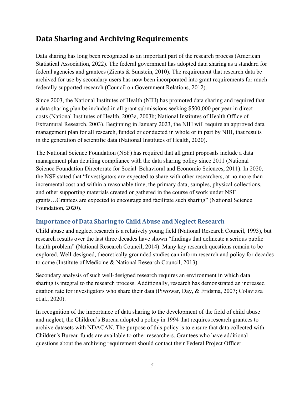## <span id="page-5-0"></span>**Data Sharing and Archiving Requirements**

Data sharing has long been recognized as an important part of the research process (American Statistical Association, 2022). The federal government has adopted data sharing as a standard for federal agencies and grantees (Zients & Sunstein, 2010). The requirement that research data be archived for use by secondary users has now been incorporated into grant requirements for much federally supported research (Council on Government Relations, 2012).

Since 2003, the National Institutes of Health (NIH) has promoted data sharing and required that a data sharing plan be included in all grant submissions seeking \$500,000 per year in direct costs (National Institutes of Health, 2003a, 2003b; National Institutes of Health Office of Extramural Research, 2003). Beginning in January 2023, the NIH will require an approved data management plan for all research, funded or conducted in whole or in part by NIH, that results in the generation of scientific data (National Institutes of Health, 2020).

The National Science Foundation (NSF) has required that all grant proposals include a data management plan detailing compliance with the data sharing policy since 2011 (National Science Foundation Directorate for Social Behavioral and Economic Sciences, 2011). In 2020, the NSF stated that "Investigators are expected to share with other researchers, at no more than incremental cost and within a reasonable time, the primary data, samples, physical collections, and other supporting materials created or gathered in the course of work under NSF grants…Grantees are expected to encourage and facilitate such sharing" (National Science Foundation, 2020).

#### <span id="page-5-1"></span>**Importance of Data Sharing to Child Abuse and Neglect Research**

Child abuse and neglect research is a relatively young field (National Research Council, 1993), but research results over the last three decades have shown "findings that delineate a serious public health problem" (National Research Council, 2014). Many key research questions remain to be explored. Well-designed, theoretically grounded studies can inform research and policy for decades to come (Institute of Medicine & National Research Council, 2013).

Secondary analysis of such well-designed research requires an environment in which data sharing is integral to the research process. Additionally, research has demonstrated an increased citation rate for investigators who share their data (Piwowar, Day, & Fridsma, 2007; Colavizza et.al., 2020).

In recognition of the importance of data sharing to the development of the field of child abuse and neglect, the Children's Bureau adopted a policy in 1994 that requires research grantees to archive datasets with NDACAN. The purpose of this policy is to ensure that data collected with Children's Bureau funds are available to other researchers. Grantees who have additional questions about the archiving requirement should contact their Federal Project Officer.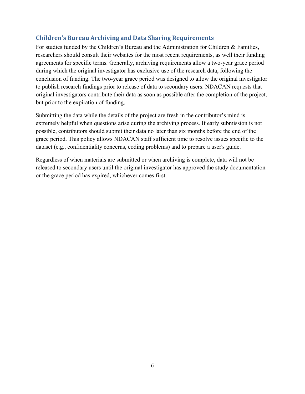#### <span id="page-6-0"></span>**Children's Bureau Archiving and Data Sharing Requirements**

For studies funded by the Children's Bureau and the Administration for Children & Families, researchers should consult their websites for the most recent requirements, as well their funding agreements for specific terms. Generally, archiving requirements allow a two-year grace period during which the original investigator has exclusive use of the research data, following the conclusion of funding. The two-year grace period was designed to allow the original investigator to publish research findings prior to release of data to secondary users. NDACAN requests that original investigators contribute their data as soon as possible after the completion of the project, but prior to the expiration of funding.

Submitting the data while the details of the project are fresh in the contributor's mind is extremely helpful when questions arise during the archiving process. If early submission is not possible, contributors should submit their data no later than six months before the end of the grace period. This policy allows NDACAN staff sufficient time to resolve issues specific to the dataset (e.g., confidentiality concerns, coding problems) and to prepare a user's guide.

Regardless of when materials are submitted or when archiving is complete, data will not be released to secondary users until the original investigator has approved the study documentation or the grace period has expired, whichever comes first.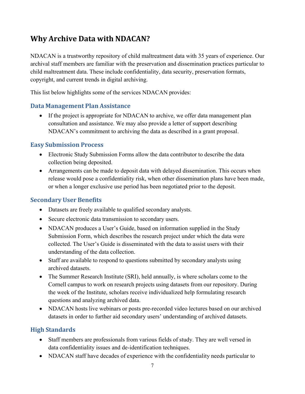# <span id="page-7-0"></span>**Why Archive Data with NDACAN?**

NDACAN is a trustworthy repository of child maltreatment data with 35 years of experience. Our archival staff members are familiar with the preservation and dissemination practices particular to child maltreatment data. These include confidentiality, data security, preservation formats, copyright, and current trends in digital archiving.

This list below highlights some of the services NDACAN provides:

#### <span id="page-7-1"></span>**Data Management Plan Assistance**

• If the project is appropriate for NDACAN to archive, we offer data management plan consultation and assistance. We may also provide a letter of support describing NDACAN's commitment to archiving the data as described in a grant proposal.

#### <span id="page-7-2"></span>**Easy Submission Process**

- Electronic Study Submission Forms allow the data contributor to describe the data collection being deposited.
- Arrangements can be made to deposit data with delayed dissemination. This occurs when release would pose a confidentiality risk, when other dissemination plans have been made, or when a longer exclusive use period has been negotiated prior to the deposit.

#### <span id="page-7-3"></span>**Secondary User Benefits**

- · Datasets are freely available to qualified secondary analysts.
- · Secure electronic data transmission to secondary users.
- NDACAN produces a User's Guide, based on information supplied in the Study Submission Form, which describes the research project under which the data were collected. The User's Guide is disseminated with the data to assist users with their understanding of the data collection.
- Staff are available to respond to questions submitted by secondary analysts using archived datasets.
- The Summer Research Institute (SRI), held annually, is where scholars come to the Cornell campus to work on research projects using datasets from our repository. During the week of the Institute, scholars receive individualized help formulating research questions and analyzing archived data.
- NDACAN hosts live webinars or posts pre-recorded video lectures based on our archived datasets in order to further aid secondary users' understanding of archived datasets.

#### <span id="page-7-4"></span>**High Standards**

- Staff members are professionals from various fields of study. They are well versed in data confidentiality issues and de-identification techniques.
- NDACAN staff have decades of experience with the confidentiality needs particular to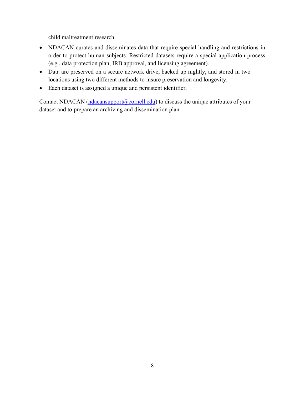child maltreatment research.

- · NDACAN curates and disseminates data that require special handling and restrictions in order to protect human subjects. Restricted datasets require a special application process (e.g., data protection plan, IRB approval, and licensing agreement).
- · Data are preserved on a secure network drive, backed up nightly, and stored in two locations using two different methods to insure preservation and longevity.
- Each dataset is assigned a unique and persistent identifier.

Contact NDACAN  $(n\text{dacansupport}(a)\text{cornell.edu})$  to discuss the unique attributes of your dataset and to prepare an archiving and dissemination plan.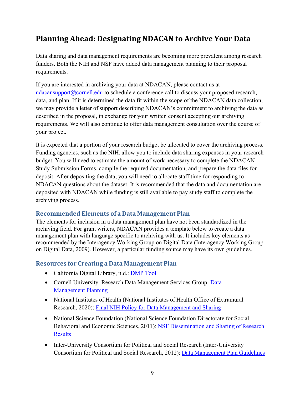# <span id="page-9-0"></span>**Planning Ahead: Designating NDACAN to Archive Your Data**

Data sharing and data management requirements are becoming more prevalent among research funders. Both the NIH and NSF have added data management planning to their proposal requirements.

If you are interested in archiving your data at NDACAN, please contact us at [ndacansupport@cornell.edu](mailto:ndacansupport@cornell.edu) to schedule a conference call to discuss your proposed research, data, and plan. If it is determined the data fit within the scope of the NDACAN data collection, we may provide a letter of support describing NDACAN's commitment to archiving the data as described in the proposal, in exchange for your written consent accepting our archiving requirements. We will also continue to offer data management consultation over the course of your project.

It is expected that a portion of your research budget be allocated to cover the archiving process. Funding agencies, such as the NIH, allow you to include data sharing expenses in your research budget. You will need to estimate the amount of work necessary to complete the NDACAN Study Submission Forms, compile the required documentation, and prepare the data files for deposit. After depositing the data, you will need to allocate staff time for responding to NDACAN questions about the dataset. It is recommended that the data and documentation are deposited with NDACAN while funding is still available to pay study staff to complete the archiving process.

#### <span id="page-9-1"></span>**Recommended Elements of a Data Management Plan**

The elements for inclusion in a data management plan have not been standardized in the archiving field. For grant writers, NDACAN provides a template below to create a data management plan with language specific to archiving with us. It includes key elements as recommended by the Interagency Working Group on Digital Data (Interagency Working Group on Digital Data, 2009). However, a particular funding source may have its own guidelines.

#### <span id="page-9-2"></span>**Resources for Creating a Data Management Plan**

- · California Digital Library, n.d.: [DMP Tool](https://dmptool.org/)
- Cornell University. Research [Data](https://data.research.cornell.edu/content/data-management-planning) Management Services Group: Data [Management Planning](https://data.research.cornell.edu/content/data-management-planning)
- · National Institutes of Health (National Institutes of Health Office of Extramural Research, 2020): [Final NIH Policy for Data Management and Sharing](https://grants.nih.gov/grants/guide/notice-files/NOT-OD-21-013.html)
- · National Science Foundation (National Science Foundation Directorate for Social Behavioral and Economic Sciences, 2011): NSF [Dissemination](http://www.nsf.gov/bfa/dias/policy/dmp.jsp) and Sharing of Research [Results](http://www.nsf.gov/bfa/dias/policy/dmp.jsp)
- Inter-University Consortium for Political and Social Research (Inter-University Consortium for Political and Social Research, 2012): Data [Management](http://www.icpsr.umich.edu/files/datamanagement/DataManagementPlans-All.pdf) Plan Guidelines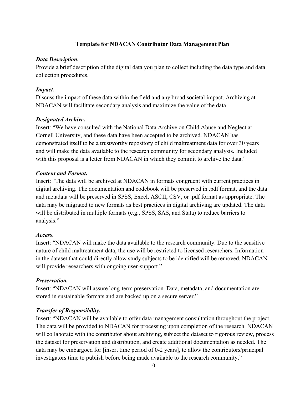#### **Template for NDACAN Contributor Data Management Plan**

#### <span id="page-10-0"></span>*Data Description***.**

Provide a brief description of the digital data you plan to collect including the data type and data collection procedures.

#### *Impact.*

Discuss the impact of these data within the field and any broad societal impact. Archiving at NDACAN will facilitate secondary analysis and maximize the value of the data.

#### *Designated Archive***.**

Insert: "We have consulted with the National Data Archive on Child Abuse and Neglect at Cornell University, and these data have been accepted to be archived. NDACAN has demonstrated itself to be a trustworthy repository of child maltreatment data for over 30 years and will make the data available to the research community for secondary analysis. Included with this proposal is a letter from NDACAN in which they commit to archive the data."

#### *Content and Format***.**

Insert: "The data will be archived at NDACAN in formats congruent with current practices in digital archiving. The documentation and codebook will be preserved in .pdf format, and the data and metadata will be preserved in SPSS, Excel, ASCII, CSV, or .pdf format as appropriate. The data may be migrated to new formats as best practices in digital archiving are updated. The data will be distributed in multiple formats (e.g., SPSS, SAS, and Stata) to reduce barriers to analysis."

#### *Access***.**

Insert: "NDACAN will make the data available to the research community. Due to the sensitive nature of child maltreatment data, the use will be restricted to licensed researchers. Information in the dataset that could directly allow study subjects to be identified will be removed. NDACAN will provide researchers with ongoing user-support."

#### *Preservation.*

Insert: "NDACAN will assure long-term preservation. Data, metadata, and documentation are stored in sustainable formats and are backed up on a secure server."

#### *Transfer of Responsibility.*

Insert: "NDACAN will be available to offer data management consultation throughout the project. The data will be provided to NDACAN for processing upon completion of the research. NDACAN will collaborate with the contributor about archiving, subject the dataset to rigorous review, process the dataset for preservation and distribution, and create additional documentation as needed. The data may be embargoed for [insert time period of 0-2 years], to allow the contributors/principal investigators time to publish before being made available to the research community."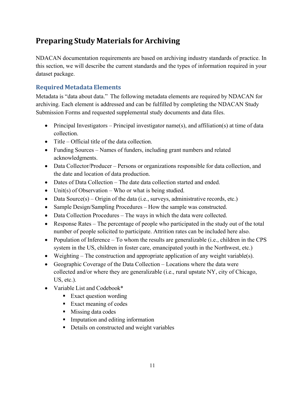# <span id="page-11-0"></span>**Preparing Study Materials for Archiving**

NDACAN documentation requirements are based on archiving industry standards of practice. In this section, we will describe the current standards and the types of information required in your dataset package.

#### <span id="page-11-1"></span>**Required Metadata Elements**

Metadata is "data about data." The following metadata elements are required by NDACAN for archiving. Each element is addressed and can be fulfilled by completing the NDACAN Study Submission Forms and requested supplemental study documents and data files.

- Principal Investigators Principal investigator name(s), and affiliation(s) at time of data collection.
- Title Official title of the data collection.
- Funding Sources Names of funders, including grant numbers and related acknowledgments.
- Data Collector/Producer Persons or organizations responsible for data collection, and the date and location of data production.
- Dates of Data Collection The date data collection started and ended.
- Unit(s) of Observation Who or what is being studied.
- Data Source $(s)$  Origin of the data (i.e., surveys, administrative records, etc.)
- Sample Design/Sampling Procedures How the sample was constructed.
- Data Collection Procedures The ways in which the data were collected.
- Response Rates The percentage of people who participated in the study out of the total number of people solicited to participate. Attrition rates can be included here also.
- Population of Inference To whom the results are generalizable (i.e., children in the CPS system in the US, children in foster care, emancipated youth in the Northwest, etc.)
- Weighting The construction and appropriate application of any weight variable(s).
- · Geographic Coverage of the Data Collection Locations where the data were collected and/or where they are generalizable (i.e., rural upstate NY, city of Chicago, US, etc.).
- Variable List and Codebook\*
	- Exact question wording
	- Exact meaning of codes
	- Missing data codes
	- Imputation and editing information
	- Details on constructed and weight variables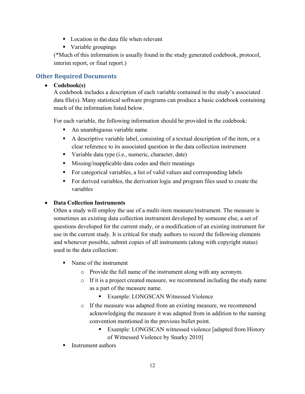- Location in the data file when relevant
- Variable groupings

(\*Much of this information is usually found in the study generated codebook, protocol, interim report, or final report.)

#### <span id="page-12-0"></span>**Other Required Documents**

#### <span id="page-12-1"></span>· **Codebook(s)**

A codebook includes a description of each variable contained in the study's associated data file(s). Many statistical software programs can produce a basic codebook containing much of the information listed below.

For each variable, the following information should be provided in the codebook:

- An unambiguous variable name
- A descriptive variable label, consisting of a textual description of the item, or a clear reference to its associated question in the data collection instrument
- Variable data type (i.e., numeric, character, date)
- Missing/inapplicable data codes and their meanings
- For categorical variables, a list of valid values and corresponding labels
- § For derived variables, the derivation logic and program files used to create the variables

#### <span id="page-12-2"></span>· **Data Collection Instruments**

Often a study will employ the use of a multi-item measure/instrument. The measure is sometimes an existing data collection instrument developed by someone else, a set of questions developed for the current study, or a modification of an existing instrument for use in the current study. It is critical for study authors to record the following elements and whenever possible, submit copies of all instruments (along with copyright status) used in the data collection:

- Name of the instrument
	- o Provide the full name of the instrument along with any acronym.
	- o If it is a project created measure, we recommend including the study name as a part of the measure name.
		- Example: LONGSCAN Witnessed Violence
	- o If the measure was adapted from an existing measure, we recommend acknowledging the measure it was adapted from in addition to the naming convention mentioned in the previous bullet point.
		- Example: LONGSCAN witnessed violence [adapted from History] of Witnessed Violence by Snarky 2010]
- § Instrument authors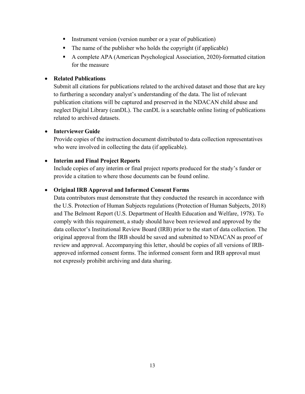- Instrument version (version number or a year of publication)
- $\blacksquare$  The name of the publisher who holds the copyright (if applicable)
- A complete APA (American Psychological Association, 2020)-formatted citation for the measure

#### <span id="page-13-0"></span>· **Related Publications**

Submit all citations for publications related to the archived dataset and those that are key to furthering a secondary analyst's understanding of the data. The list of relevant publication citations will be captured and preserved in the NDACAN child abuse and neglect Digital Library (canDL). The canDL is a searchable online listing of publications related to archived datasets.

#### <span id="page-13-1"></span>· **Interviewer Guide**

Provide copies of the instruction document distributed to data collection representatives who were involved in collecting the data (if applicable).

#### <span id="page-13-2"></span>· **Interim and Final Project Reports**

Include copies of any interim or final project reports produced for the study's funder or provide a citation to where those documents can be found online.

#### <span id="page-13-3"></span>· **Original IRB Approval and Informed Consent Forms**

Data contributors must demonstrate that they conducted the research in accordance with the U.S. Protection of Human Subjects regulations (Protection of Human Subjects, 2018) and The Belmont Report (U.S. Department of Health Education and Welfare, 1978). To comply with this requirement, a study should have been reviewed and approved by the data collector's Institutional Review Board (IRB) prior to the start of data collection. The original approval from the IRB should be saved and submitted to NDACAN as proof of review and approval. Accompanying this letter, should be copies of all versions of IRBapproved informed consent forms. The informed consent form and IRB approval must not expressly prohibit archiving and data sharing.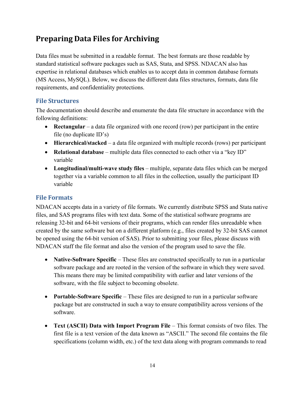### <span id="page-14-0"></span>**Preparing Data Files for Archiving**

Data files must be submitted in a readable format. The best formats are those readable by standard statistical software packages such as SAS, Stata, and SPSS. NDACAN also has expertise in relational databases which enables us to accept data in common database formats (MS Access, MySQL). Below, we discuss the different data files structures, formats, data file requirements, and confidentiality protections.

#### <span id="page-14-1"></span>**File Structures**

The documentation should describe and enumerate the data file structure in accordance with the following definitions:

- · **Rectangular** a data file organized with one record (row) per participant in the entire file (no duplicate ID's)
- · **Hierarchical/stacked** a data file organized with multiple records (rows) per participant
- · **Relational database** multiple data files connected to each other via a "key ID" variable
- · **Longitudinal/multi-wave study files** multiple, separate data files which can be merged together via a variable common to all files in the collection, usually the participant ID variable

#### <span id="page-14-2"></span>**File Formats**

NDACAN accepts data in a variety of file formats. We currently distribute SPSS and Stata native files, and SAS programs files with text data. Some of the statistical software programs are releasing 32-bit and 64-bit versions of their programs, which can render files unreadable when created by the same software but on a different platform (e.g., files created by 32-bit SAS cannot be opened using the 64-bit version of SAS). Prior to submitting your files, please discuss with NDACAN staff the file format and also the version of the program used to save the file.

- · **Native-Software Specific** These files are constructed specifically to run in a particular software package and are rooted in the version of the software in which they were saved. This means there may be limited compatibility with earlier and later versions of the software, with the file subject to becoming obsolete.
- · **Portable-Software Specific**  These files are designed to run in a particular software package but are constructed in such a way to ensure compatibility across versions of the software.
- · **Text (ASCII) Data with Import Program File**  This format consists of two files. The first file is a text version of the data known as "ASCII." The second file contains the file specifications (column width, etc.) of the text data along with program commands to read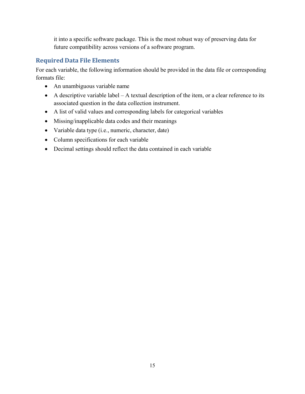it into a specific software package. This is the most robust way of preserving data for future compatibility across versions of a software program.

#### <span id="page-15-0"></span>**Required Data File Elements**

For each variable, the following information should be provided in the data file or corresponding formats file:

- · An unambiguous variable name
- $\bullet$  A descriptive variable label A textual description of the item, or a clear reference to its associated question in the data collection instrument.
- · A list of valid values and corresponding labels for categorical variables
- · Missing/inapplicable data codes and their meanings
- · Variable data type (i.e., numeric, character, date)
- · Column specifications for each variable
- · Decimal settings should reflect the data contained in each variable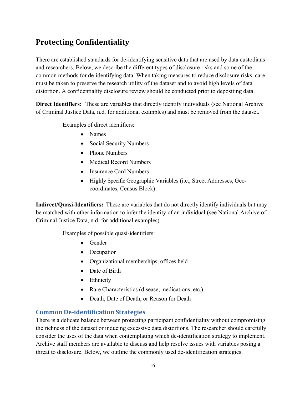### <span id="page-16-0"></span>**Protecting Confidentiality**

There are established standards for de-identifying sensitive data that are used by data custodians and researchers. Below, we describe the different types of disclosure risks and some of the common methods for de-identifying data. When taking measures to reduce disclosure risks, care must be taken to preserve the research utility of the dataset and to avoid high levels of data distortion. A confidentiality disclosure review should be conducted prior to depositing data.

**Direct Identifiers:** These are variables that directly identify individuals (see National Archive of Criminal Justice Data, n.d. for additional examples) and must be removed from the dataset.

Examples of direct identifiers:

- · Names
- · Social Security Numbers
- Phone Numbers
- · Medical Record Numbers
- Insurance Card Numbers
- · Highly Specific Geographic Variables (i.e., Street Addresses, Geocoordinates, Census Block)

**Indirect/Quasi-Identifiers:** These are variables that do not directly identify individuals but may be matched with other information to infer the identity of an individual (see National Archive of Criminal Justice Data, n.d. for additional examples).

Examples of possible quasi-identifiers:

- Gender
- Occupation
- · Organizational memberships; offices held
- Date of Birth
- Ethnicity
- Rare Characteristics (disease, medications, etc.)
- · Death, Date of Death, or Reason for Death

#### <span id="page-16-1"></span>**Common De-identification Strategies**

There is a delicate balance between protecting participant confidentiality without compromising the richness of the dataset or inducing excessive data distortions. The researcher should carefully consider the uses of the data when contemplating which de-identification strategy to implement. Archive staff members are available to discuss and help resolve issues with variables posing a threat to disclosure. Below, we outline the commonly used de-identification strategies.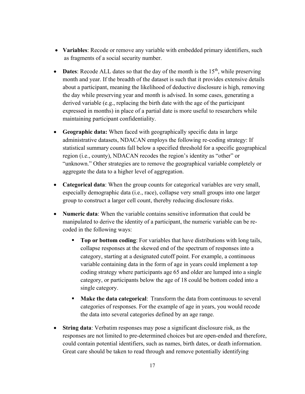- · **Variables**: Recode or remove any variable with embedded primary identifiers, such as fragments of a social security number.
- **Dates**: Recode ALL dates so that the day of the month is the  $15<sup>th</sup>$ , while preserving month and year. If the breadth of the dataset is such that it provides extensive details about a participant, meaning the likelihood of deductive disclosure is high, removing the day while preserving year and month is advised. In some cases, generating a derived variable (e.g., replacing the birth date with the age of the participant expressed in months) in place of a partial date is more useful to researchers while maintaining participant confidentiality.
- · **Geographic data:** When faced with geographically specific data in large administrative datasets, NDACAN employs the following re-coding strategy: If statistical summary counts fall below a specified threshold for a specific geographical region (i.e., county), NDACAN recodes the region's identity as "other" or "unknown." Other strategies are to remove the geographical variable completely or aggregate the data to a higher level of aggregation.
- · **Categorical data**: When the group counts for categorical variables are very small, especially demographic data (i.e., race), collapse very small groups into one larger group to construct a larger cell count, thereby reducing disclosure risks.
- · **Numeric data**: When the variable contains sensitive information that could be manipulated to derive the identity of a participant, the numeric variable can be recoded in the following ways:
	- § **Top or bottom coding**: For variables that have distributions with long tails, collapse responses at the skewed end of the spectrum of responses into a category, starting at a designated cutoff point. For example, a continuous variable containing data in the form of age in years could implement a top coding strategy where participants age 65 and older are lumped into a single category, or participants below the age of 18 could be bottom coded into a single category.
	- § **Make the data categorical**: Transform the data from continuous to several categories of responses. For the example of age in years, you would recode the data into several categories defined by an age range.
- · **String data**: Verbatim responses may pose a significant disclosure risk, as the responses are not limited to pre-determined choices but are open-ended and therefore, could contain potential identifiers, such as names, birth dates, or death information. Great care should be taken to read through and remove potentially identifying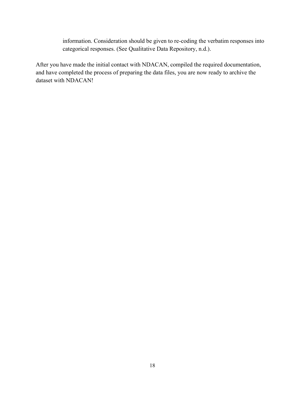information. Consideration should be given to re-coding the verbatim responses into categorical responses. (See Qualitative Data Repository, n.d.).

After you have made the initial contact with NDACAN, compiled the required documentation, and have completed the process of preparing the data files, you are now ready to archive the dataset with NDACAN!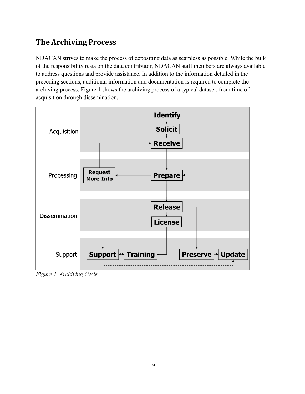# <span id="page-19-0"></span>**The Archiving Process**

NDACAN strives to make the process of depositing data as seamless as possible. While the bulk of the responsibility rests on the data contributor, NDACAN staff members are always available to address questions and provide assistance. In addition to the information detailed in the preceding sections, additional information and documentation is required to complete the archiving process. Figure 1 shows the archiving process of a typical dataset, from time of acquisition through dissemination.



*Figure 1. Archiving Cycle*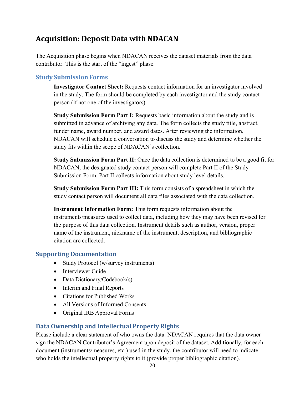### <span id="page-20-0"></span>**Acquisition: Deposit Data with NDACAN**

The Acquisition phase begins when NDACAN receives the dataset materials from the data contributor. This is the start of the "ingest" phase.

#### <span id="page-20-1"></span>**Study Submission Forms**

**Investigator Contact Sheet:** Requests contact information for an investigator involved in the study. The form should be completed by each investigator and the study contact person (if not one of the investigators).

**Study Submission Form Part I:** Requests basic information about the study and is submitted in advance of archiving any data. The form collects the study title, abstract, funder name, award number, and award dates. After reviewing the information, NDACAN will schedule a conversation to discuss the study and determine whether the study fits within the scope of NDACAN's collection.

**Study Submission Form Part II:** Once the data collection is determined to be a good fit for NDACAN, the designated study contact person will complete Part II of the Study Submission Form. Part II collects information about study level details.

**Study Submission Form Part III:** This form consists of a spreadsheet in which the study contact person will document all data files associated with the data collection.

**Instrument Information Form:** This form requests information about the instruments/measures used to collect data, including how they may have been revised for the purpose of this data collection. Instrument details such as author, version, proper name of the instrument, nickname of the instrument, description, and bibliographic citation are collected.

#### <span id="page-20-2"></span>**Supporting Documentation**

- Study Protocol (w/survey instruments)
- Interviewer Guide
- Data Dictionary/Codebook(s)
- Interim and Final Reports
- · Citations for Published Works
- All Versions of Informed Consents
- · Original IRB Approval Forms

#### <span id="page-20-3"></span>**Data Ownership and Intellectual Property Rights**

Please include a clear statement of who owns the data. NDACAN requires that the data owner sign the NDACAN Contributor's Agreement upon deposit of the dataset. Additionally, for each document (instruments/measures, etc.) used in the study, the contributor will need to indicate who holds the intellectual property rights to it (provide proper bibliographic citation).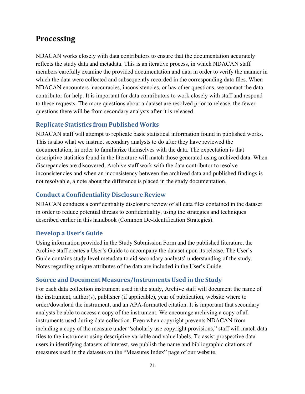### <span id="page-21-0"></span>**Processing**

NDACAN works closely with data contributors to ensure that the documentation accurately reflects the study data and metadata. This is an iterative process, in which NDACAN staff members carefully examine the provided documentation and data in order to verify the manner in which the data were collected and subsequently recorded in the corresponding data files. When NDACAN encounters inaccuracies, inconsistencies, or has other questions, we contact the data contributor for help. It is important for data contributors to work closely with staff and respond to these requests. The more questions about a dataset are resolved prior to release, the fewer questions there will be from secondary analysts after it is released.

#### <span id="page-21-1"></span>**Replicate Statistics from Published Works**

NDACAN staff will attempt to replicate basic statistical information found in published works. This is also what we instruct secondary analysts to do after they have reviewed the documentation, in order to familiarize themselves with the data. The expectation is that descriptive statistics found in the literature will match those generated using archived data. When discrepancies are discovered, Archive staff work with the data contributor to resolve inconsistencies and when an inconsistency between the archived data and published findings is not resolvable, a note about the difference is placed in the study documentation.

#### <span id="page-21-2"></span>**Conduct a Confidentiality Disclosure Review**

NDACAN conducts a confidentiality disclosure review of all data files contained in the dataset in order to reduce potential threats to confidentiality, using the strategies and techniques described earlier in this handbook (Common De-Identification Strategies).

#### <span id="page-21-3"></span>**Develop a User's Guide**

Using information provided in the Study Submission Form and the published literature, the Archive staff creates a User's Guide to accompany the dataset upon its release. The User's Guide contains study level metadata to aid secondary analysts' understanding of the study. Notes regarding unique attributes of the data are included in the User's Guide.

#### <span id="page-21-4"></span>**Source and Document Measures/Instruments Used in the Study**

For each data collection instrument used in the study, Archive staff will document the name of the instrument, author(s), publisher (if applicable), year of publication, website where to order/download the instrument, and an APA-formatted citation. It is important that secondary analysts be able to access a copy of the instrument. We encourage archiving a copy of all instruments used during data collection. Even when copyright prevents NDACAN from including a copy of the measure under "scholarly use copyright provisions," staff will match data files to the instrument using descriptive variable and value labels. To assist prospective data users in identifying datasets of interest, we publish the name and bibliographic citations of measures used in the datasets on the "Measures Index" page of our website.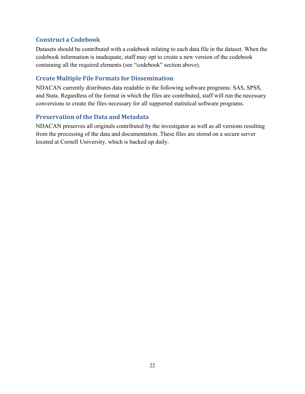#### <span id="page-22-0"></span>**Construct a Codebook**

Datasets should be contributed with a codebook relating to each data file in the dataset. When the codebook information is inadequate, staff may opt to create a new version of the codebook containing all the required elements (see "codebook" section above).

#### <span id="page-22-1"></span>**Create Multiple File Formats for Dissemination**

NDACAN currently distributes data readable in the following software programs: SAS, SPSS, and Stata. Regardless of the format in which the files are contributed, staff will run the necessary conversions to create the files necessary for all supported statistical software programs.

#### <span id="page-22-2"></span>**Preservation of the Data and Metadata**

NDACAN preserves all originals contributed by the investigator as well as all versions resulting from the processing of the data and documentation. These files are stored on a secure server located at Cornell University, which is backed up daily.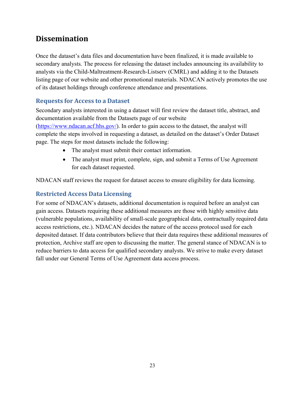### <span id="page-23-0"></span>**Dissemination**

Once the dataset's data files and documentation have been finalized, it is made available to secondary analysts. The process for releasing the dataset includes announcing its availability to analysts via the Child-Maltreatment-Research-Listserv (CMRL) and adding it to the Datasets listing page of our website and other promotional materials. NDACAN actively promotes the use of its dataset holdings through conference attendance and presentations.

#### <span id="page-23-1"></span>**Requests for Access to a Dataset**

Secondary analysts interested in using a dataset will first review the dataset title, abstract, and documentation available from the Datasets page of our website ([https://www.ndacan.acf.hhs.gov/\)](https://www.ndacan.acf.hhs.gov/). In order to gain access to the dataset, the analyst will complete the steps involved in requesting a dataset, as detailed on the dataset's Order Dataset page. The steps for most datasets include the following:

- · The analyst must submit their contact information.
- The analyst must print, complete, sign, and submit a Terms of Use Agreement for each dataset requested.

NDACAN staff reviews the request for dataset access to ensure eligibility for data licensing.

#### <span id="page-23-2"></span>**Restricted Access Data Licensing**

For some of NDACAN's datasets, additional documentation is required before an analyst can gain access. Datasets requiring these additional measures are those with highly sensitive data (vulnerable populations, availability of small-scale geographical data, contractually required data access restrictions, etc.). NDACAN decides the nature of the access protocol used for each deposited dataset. If data contributors believe that their data requires these additional measures of protection, Archive staff are open to discussing the matter. The general stance of NDACAN is to reduce barriers to data access for qualified secondary analysts. We strive to make every dataset fall under our General Terms of Use Agreement data access process.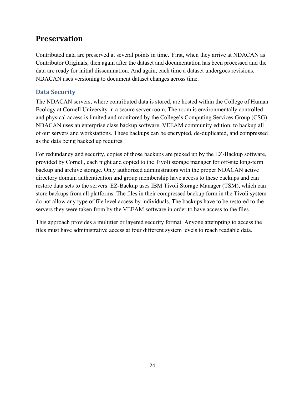### <span id="page-24-0"></span>**Preservation**

Contributed data are preserved at several points in time. First, when they arrive at NDACAN as Contributor Originals, then again after the dataset and documentation has been processed and the data are ready for initial dissemination. And again, each time a dataset undergoes revisions. NDACAN uses versioning to document dataset changes across time.

#### <span id="page-24-1"></span>**Data Security**

The NDACAN servers, where contributed data is stored, are hosted within the College of Human Ecology at Cornell University in a secure server room. The room is environmentally controlled and physical access is limited and monitored by the College's Computing Services Group (CSG). NDACAN uses an enterprise class backup software, VEEAM community edition, to backup all of our servers and workstations. These backups can be encrypted, de-duplicated, and compressed as the data being backed up requires.

For redundancy and security, copies of those backups are picked up by the EZ-Backup software, provided by Cornell, each night and copied to the Tivoli storage manager for off-site long-term backup and archive storage. Only authorized administrators with the proper NDACAN active directory domain authentication and group membership have access to these backups and can restore data sets to the servers. EZ-Backup uses IBM Tivoli Storage Manager (TSM), which can store backups from all platforms. The files in their compressed backup form in the Tivoli system do not allow any type of file level access by individuals. The backups have to be restored to the servers they were taken from by the VEEAM software in order to have access to the files.

This approach provides a multitier or layered security format. Anyone attempting to access the files must have administrative access at four different system levels to reach readable data.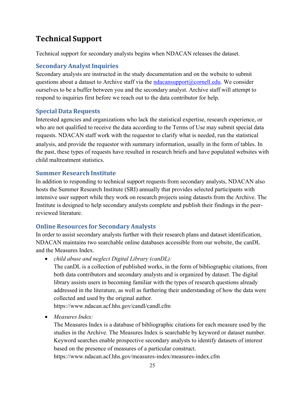### <span id="page-25-0"></span>**Technical Support**

Technical support for secondary analysts begins when NDACAN releases the dataset.

#### <span id="page-25-1"></span>**Secondary Analyst Inquiries**

Secondary analysts are instructed in the study documentation and on the website to submit questions about a dataset to Archive staff via the ndacansupport $@$ cornell.edu. We consider ourselves to be a buffer between you and the secondary analyst. Archive staff will attempt to respond to inquiries first before we reach out to the data contributor for help.

#### <span id="page-25-2"></span>**Special Data Requests**

Interested agencies and organizations who lack the statistical expertise, research experience, or who are not qualified to receive the data according to the Terms of Use may submit special data requests. NDACAN staff work with the requestor to clarify what is needed, run the statistical analysis, and provide the requestor with summary information, usually in the form of tables. In the past, these types of requests have resulted in research briefs and have populated websites with child maltreatment statistics.

#### <span id="page-25-3"></span>**Summer Research Institute**

In addition to responding to technical support requests from secondary analysts, NDACAN also hosts the Summer Research Institute (SRI) annually that provides selected participants with intensive user support while they work on research projects using datasets from the Archive. The Institute is designed to help secondary analysts complete and publish their findings in the peerreviewed literature.

#### <span id="page-25-4"></span>**Online Resources for Secondary Analysts**

In order to assist secondary analysts further with their research plans and dataset identification, NDACAN maintains two searchable online databases accessible from our website, the canDL and the Measures Index.

· *child abuse and neglect Digital Library (canDL):*

The canDL is a collection of published works, in the form of bibliographic citations, from both data contributors and secondary analysts and is organized by dataset. The digital library assists users in becoming familiar with the types of research questions already addressed in the literature, as well as furthering their understanding of how the data were collected and used by the original author.

https://www.ndacan.acf.hhs.gov/candl/candl.cfm

· *Measures Index:*

The Measures Index is a database of bibliographic citations for each measure used by the studies in the Archive. The Measures Index is searchable by keyword or dataset number. Keyword searches enable prospective secondary analysts to identify datasets of interest based on the presence of measures of a particular construct.

https://www.ndacan.acf.hhs.gov/measures-index/measures-index.cfm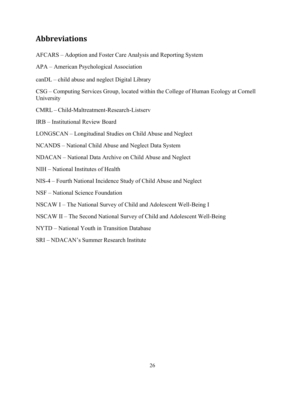### <span id="page-26-0"></span>**Abbreviations**

AFCARS – Adoption and Foster Care Analysis and Reporting System

- APA American Psychological Association
- canDL child abuse and neglect Digital Library

CSG – Computing Services Group, located within the College of Human Ecology at Cornell University

CMRL – Child-Maltreatment-Research-Listserv

IRB – Institutional Review Board

LONGSCAN – Longitudinal Studies on Child Abuse and Neglect

NCANDS – National Child Abuse and Neglect Data System

NDACAN – National Data Archive on Child Abuse and Neglect

- NIH National Institutes of Health
- NIS-4 Fourth National Incidence Study of Child Abuse and Neglect

NSF – National Science Foundation

NSCAW I – The National Survey of Child and Adolescent Well-Being I

NSCAW II – The Second National Survey of Child and Adolescent Well-Being

NYTD – National Youth in Transition Database

SRI – NDACAN's Summer Research Institute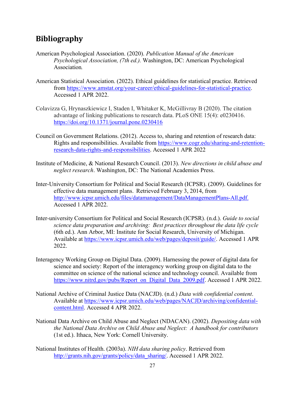### <span id="page-27-0"></span>**Bibliography**

- American Psychological Association. (2020). *Publication Manual of the American Psychological Association, (7th ed.).* Washington, DC: American Psychological Association*.*
- American Statistical Association. (2022). Ethical guidelines for statistical practice. Retrieved from<https://www.amstat.org/your-career/ethical-guidelines-for-statistical-practice>. Accessed 1 APR 2022.
- Colavizza G, Hrynaszkiewicz I, Staden I, Whitaker K, McGillivray B (2020). The citation advantage of linking publications to research data. PLoS ONE 15(4): e0230416. <https://doi.org/10.1371/journal.pone.0230416>
- Council on Government Relations. (2012). Access to, sharing and retention of research data: Rights and responsibilities. Available from [https://www.cogr.edu/sharing-and-retention](https://www.cogr.edu/sharing-and-retention-research-data-rights-and-responsibilities)[research-data-rights-and-responsibilities](https://www.cogr.edu/sharing-and-retention-research-data-rights-and-responsibilities). Accessed 1 APR 2022
- Institute of Medicine, & National Research Council. (2013). *New directions in child abuse and neglect research*. Washington, DC: The National Academies Press.
- Inter-University Consortium for Political and Social Research (ICPSR). (2009). Guidelines for effective data management plans. Retrieved February 3, 2014, from [http://www.icpsr.umich.edu/files/datamanagement/DataManagementPlans-All.pdf.](http://www.icpsr.umich.edu/files/datamanagement/DataManagementPlans-All.pdf) Accessed 1 APR 2022.
- Inter-university Consortium for Political and Social Research (ICPSR). (n.d.). *Guide to social science data preparation and archiving: Best practices throughout the data life cycle*  (6th ed.). Ann Arbor, MI: Institute for Social Research, University of Michigan. Available at [https://www.icpsr.umich.edu/web/pages/deposit/guide/.](https://www.icpsr.umich.edu/web/pages/deposit/guide/) Accessed 1 APR 2022.
- Interagency Working Group on Digital Data. (2009). Harnessing the power of digital data for science and society: Report of the interagency working group on digital data to the committee on science of the national science and technology council. Available from [https://www.nitrd.gov/pubs/Report\\_on\\_Digital\\_Data\\_2009.pdf.](https://www.nitrd.gov/pubs/Report_on_Digital_Data_2009.pdf) Accessed 1 APR 2022.
- National Archive of Criminal Justice Data (NACJD). (n.d.) *Data with confidential content*. Available at [https://www.icpsr.umich.edu/web/pages/NACJD/archiving/confidential](https://www.icpsr.umich.edu/web/pages/NACJD/archiving/confidential-content.html)[content.html](https://www.icpsr.umich.edu/web/pages/NACJD/archiving/confidential-content.html). Accessed 4 APR 2022.
- National Data Archive on Child Abuse and Neglect (NDACAN). (2002). *Depositing data with the National Data Archive on Child Abuse and Neglect: A handbook for contributors*  (1st ed.). Ithaca, New York: Cornell University.
- National Institutes of Health. (2003a). *NIH data sharing policy*. Retrieved from http://grants.nih.gov/grants/policy/data\_sharing/. Accessed 1 APR 2022.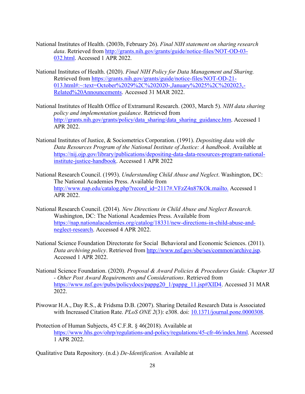- National Institutes of Health. (2003b, February 26). *Final NIH statement on sharing research data*. Retrieved from [http://grants.nih.gov/grants/guide/notice-files/NOT-OD-03-](http://grants.nih.gov/grants/guide/notice-files/NOT-OD-03-032.html) [032.html](http://grants.nih.gov/grants/guide/notice-files/NOT-OD-03-032.html). Accessed 1 APR 2022.
- National Institutes of Health. (2020). *Final NIH Policy for Data Management and Sharing.*  Retrieved from [https://grants.nih.gov/grants/guide/notice-files/NOT-OD-21-](https://grants.nih.gov/grants/guide/notice-files/NOT-OD-21-013.html#:~:text=October%2029%2C%202020-,January%2025%2C%202023,-Related%20Announcements) [013.html#:~:text=October%2029%2C%202020-,January%2025%2C%202023,-](https://grants.nih.gov/grants/guide/notice-files/NOT-OD-21-013.html#:~:text=October%2029%2C%202020-,January%2025%2C%202023,-Related%20Announcements) [Related%20Announcements.](https://grants.nih.gov/grants/guide/notice-files/NOT-OD-21-013.html#:~:text=October%2029%2C%202020-,January%2025%2C%202023,-Related%20Announcements) Accessed 31 MAR 2022.
- National Institutes of Health Office of Extramural Research. (2003, March 5). *NIH data sharing policy and implementation guidance*. Retrieved from [http://grants.nih.gov/grants/policy/data\\_sharing/data\\_sharing\\_guidance.htm](http://grants.nih.gov/grants/policy/data_sharing/data_sharing_guidance.htm). Accessed 1 APR 2022.
- National Institutes of Justice, & Sociometrics Corporation. (1991). *Depositing data with the Data Resources Program of the National Institute of Justice: A handbook*. Available at [https://nij.ojp.gov/library/publications/depositing-data-data-resources-program-national](https://nij.ojp.gov/library/publications/depositing-data-data-resources-program-national-institute-justice-handbook)[institute-justice-handbook](https://nij.ojp.gov/library/publications/depositing-data-data-resources-program-national-institute-justice-handbook). Accessed 1 APR 2022
- National Research Council. (1993). *Understanding Child Abuse and Neglect*. Washington, DC: The National Academies Press. Available from [http://www.nap.edu/catalog.php?record\\_id=2117#.VFzZ4n87KOk.mailto.](http://www.nap.edu/catalog.php?record_id=2117&.VFzZ4n87KOk.mailto) Accessed 1 APR 2022.
- National Research Council. (2014). *New Directions in Child Abuse and Neglect Research.*  Washington, DC: The National Academies Press. Available from [https://nap.nationalacademies.org/catalog/18331/new-directions-in-child-abuse-and](https://nap.nationalacademies.org/catalog/18331/new-directions-in-child-abuse-and-neglect-research)[neglect-research.](https://nap.nationalacademies.org/catalog/18331/new-directions-in-child-abuse-and-neglect-research) Accessed 4 APR 2022.
- National Science Foundation Directorate for Social Behavioral and Economic Sciences. (2011). *Data archiving policy*. Retrieved from [http://www.nsf.gov/sbe/ses/common/archive.jsp.](http://www.nsf.gov/sbe/ses/common/archive.jsp) Accessed 1 APR 2022.
- National Science Foundation. (2020). *Proposal & Award Policies & Procedures Guide. Chapter XI - Other Post Award Requirements and Considerations*. Retrieved from [https://www.nsf.gov/pubs/policydocs/pappg20\\_1/pappg\\_11.jsp#XID4.](https://www.nsf.gov/pubs/policydocs/pappg20_1/pappg_11.jsp#XID4) Accessed 31 MAR 2022.
- Piwowar H.A., Day R.S., & Fridsma D.B. (2007). Sharing Detailed Research Data is Associated with Increased Citation Rate. *PLoS ONE 2*(3): e308. doi: [10.1371/journal.pone.0000308](https://doi.org/10.1371/journal.pone.0000308).
- Protection of Human Subjects, 45 C.F.R. § 46(2018). Available at [https://www.hhs.gov/ohrp/regulations-and-policy/regulations/45-cfr-46/index.html.](https://www.hhs.gov/ohrp/regulations-and-policy/regulations/45-cfr-46/index.html) Accessed 1 APR 2022.

Qualitative Data Repository. (n.d.) *De-Identification.* Available at